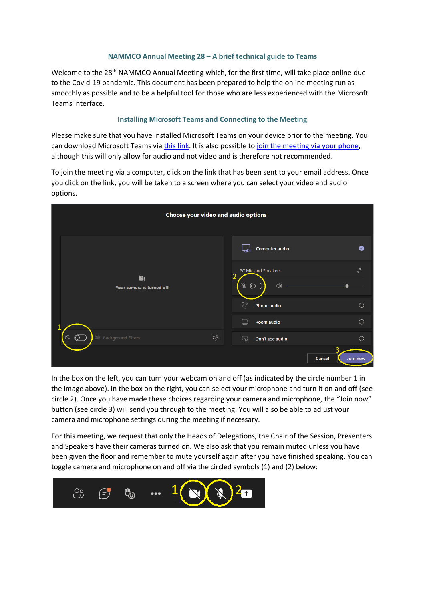## **NAMMCO Annual Meeting 28 – A brief technical guide to Teams**

Welcome to the 28<sup>th</sup> NAMMCO Annual Meeting which, for the first time, will take place online due to the Covid-19 pandemic. This document has been prepared to help the online meeting run as smoothly as possible and to be a helpful tool for those who are less experienced with the Microsoft Teams interface.

# **Installing Microsoft Teams and Connecting to the Meeting**

Please make sure that you have installed Microsoft Teams on your device prior to the meeting. You can download Microsoft Teams via [this link.](https://www.microsoft.com/en-us/microsoft-teams/download-app) It is also possible t[o join the meeting via your phone,](https://support.microsoft.com/en-us/office/call-in-to-a-meeting-in-teams-44607421-aeae-4481-8c39-d6b40bc5d554) although this will only allow for audio and not video and is therefore not recommended.

To join the meeting via a computer, click on the link that has been sent to your email address. Once you click on the link, you will be taken to a screen where you can select your video and audio options.

| Choose your video and audio options                                                                                                                                                                                                                                                                                                                                                   |                                                                                                                             |
|---------------------------------------------------------------------------------------------------------------------------------------------------------------------------------------------------------------------------------------------------------------------------------------------------------------------------------------------------------------------------------------|-----------------------------------------------------------------------------------------------------------------------------|
| $\mathbf{N}$<br>Your camera is turned off                                                                                                                                                                                                                                                                                                                                             | <b>Computer audio</b><br>◙                                                                                                  |
|                                                                                                                                                                                                                                                                                                                                                                                       | $\overline{\phantom{a}}$<br>PC Mic and Speakers<br>$\overline{\phantom{0}}$<br>$\overline{2}$<br>Ŕ,<br>$\circledcirc$<br>√》 |
|                                                                                                                                                                                                                                                                                                                                                                                       | $\mathscr{C}_{\mathscr{I}}$<br>$\bigcirc$<br>Phone audio                                                                    |
|                                                                                                                                                                                                                                                                                                                                                                                       | $\bigcirc$<br>Room audio<br>$\sqcup$                                                                                        |
| $\begin{picture}(20,5) \put(0,0){\line(1,0){155}} \put(15,0){\line(1,0){155}} \put(15,0){\line(1,0){155}} \put(15,0){\line(1,0){155}} \put(15,0){\line(1,0){155}} \put(15,0){\line(1,0){155}} \put(15,0){\line(1,0){155}} \put(15,0){\line(1,0){155}} \put(15,0){\line(1,0){155}} \put(15,0){\line(1,0){155}} \put(15,0){\line(1,0){155}} \put$<br>ශ<br><b> 28 Background filters</b> | ご<br>Don't use audio<br>∩                                                                                                   |
|                                                                                                                                                                                                                                                                                                                                                                                       | З<br>Join now<br>Cancel                                                                                                     |

In the box on the left, you can turn your webcam on and off (as indicated by the circle number 1 in the image above). In the box on the right, you can select your microphone and turn it on and off (see circle 2). Once you have made these choices regarding your camera and microphone, the "Join now" button (see circle 3) will send you through to the meeting. You will also be able to adjust your camera and microphone settings during the meeting if necessary.

For this meeting, we request that only the Heads of Delegations, the Chair of the Session, Presenters and Speakers have their cameras turned on. We also ask that you remain muted unless you have been given the floor and remember to mute yourself again after you have finished speaking. You can toggle camera and microphone on and off via the circled symbols (1) and (2) below:

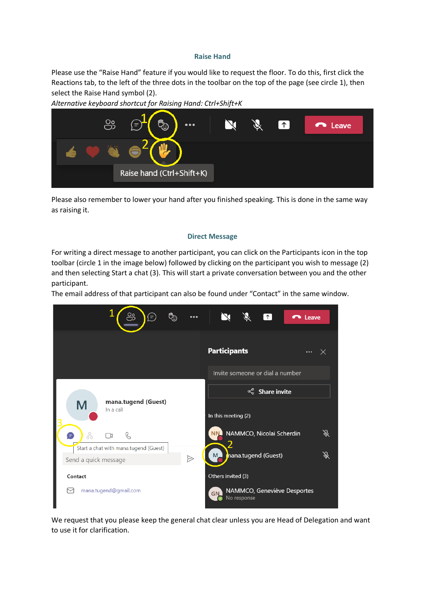### **Raise Hand**

Please use the "Raise Hand" feature if you would like to request the floor. To do this, first click the Reactions tab, to the left of the three dots in the toolbar on the top of the page (see circle 1), then select the Raise Hand symbol (2).



*Alternative keyboard shortcut for Raising Hand: Ctrl+Shift+K*

Please also remember to lower your hand after you finished speaking. This is done in the same way as raising it.

#### **Direct Message**

For writing a direct message to another participant, you can click on the Participants icon in the top toolbar (circle 1 in the image below) followed by clicking on the participant you wish to message (2) and then selecting Start a chat (3). This will start a private conversation between you and the other participant.

The email address of that participant can also be found under "Contact" in the same window.



We request that you please keep the general chat clear unless you are Head of Delegation and want to use it for clarification.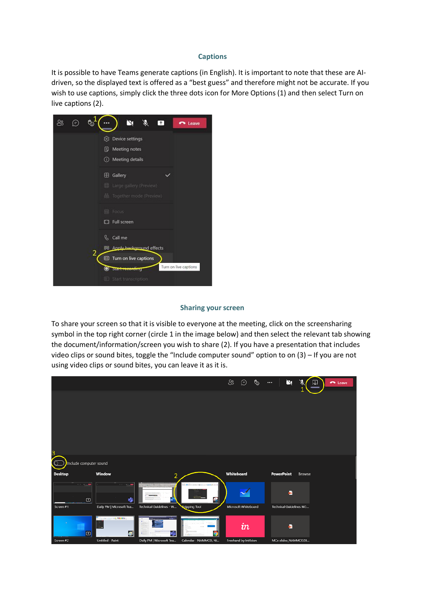#### **Captions**

It is possible to have Teams generate captions (in English). It is important to note that these are AIdriven, so the displayed text is offered as a "best guess" and therefore might not be accurate. If you wish to use captions, simply click the three dots icon for More Options (1) and then select Turn on live captions (2).



#### **Sharing your screen**

To share your screen so that it is visible to everyone at the meeting, click on the screensharing symbol in the top right corner (circle 1 in the image below) and then select the relevant tab showing the document/information/screen you wish to share (2). If you have a presentation that includes video clips or sound bites, toggle the "Include computer sound" option to on (3) – If you are not using video clips or sound bites, you can leave it as it is.